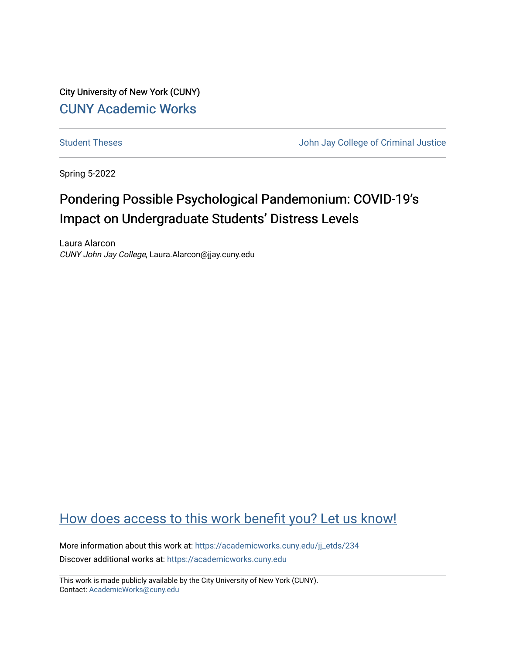City University of New York (CUNY) [CUNY Academic Works](https://academicworks.cuny.edu/) 

[Student Theses](https://academicworks.cuny.edu/jj_etds) **Student Theses** John Jay College of Criminal Justice

Spring 5-2022

# Pondering Possible Psychological Pandemonium: COVID-19's Impact on Undergraduate Students' Distress Levels

Laura Alarcon CUNY John Jay College, Laura.Alarcon@jjay.cuny.edu

## [How does access to this work benefit you? Let us know!](http://ols.cuny.edu/academicworks/?ref=https://academicworks.cuny.edu/jj_etds/234)

More information about this work at: [https://academicworks.cuny.edu/jj\\_etds/234](https://academicworks.cuny.edu/jj_etds/234)  Discover additional works at: [https://academicworks.cuny.edu](https://academicworks.cuny.edu/?)

This work is made publicly available by the City University of New York (CUNY). Contact: [AcademicWorks@cuny.edu](mailto:AcademicWorks@cuny.edu)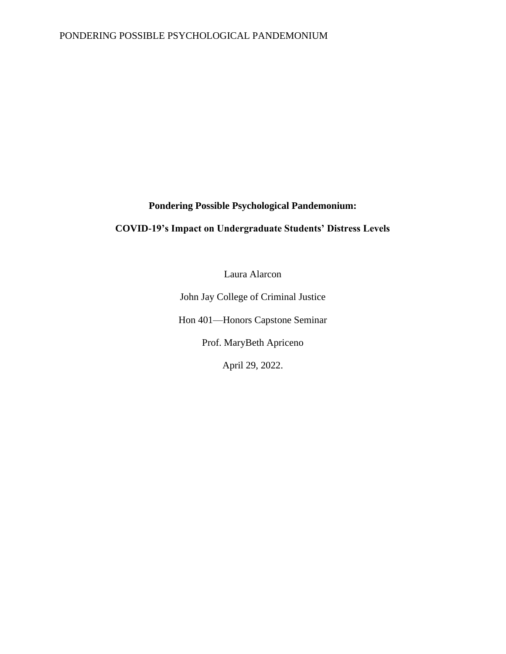**Pondering Possible Psychological Pandemonium:**

## **COVID-19's Impact on Undergraduate Students' Distress Levels**

Laura Alarcon

John Jay College of Criminal Justice Hon 401—Honors Capstone Seminar Prof. MaryBeth Apriceno

April 29, 2022.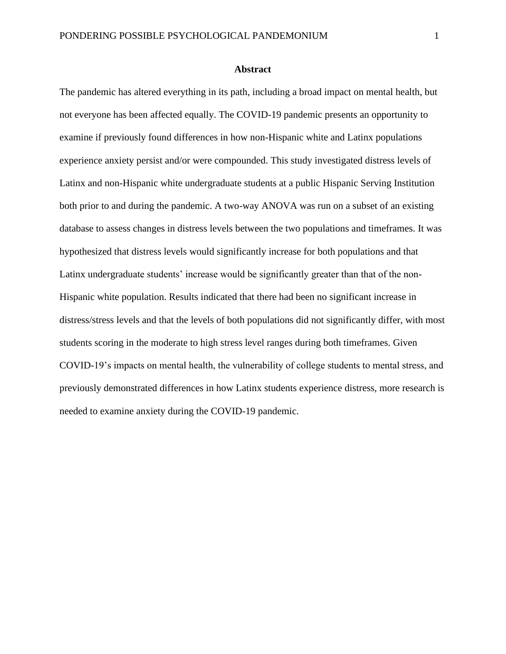The pandemic has altered everything in its path, including a broad impact on mental health, but not everyone has been affected equally. The COVID-19 pandemic presents an opportunity to examine if previously found differences in how non-Hispanic white and Latinx populations experience anxiety persist and/or were compounded. This study investigated distress levels of Latinx and non-Hispanic white undergraduate students at a public Hispanic Serving Institution both prior to and during the pandemic. A two-way ANOVA was run on a subset of an existing database to assess changes in distress levels between the two populations and timeframes. It was hypothesized that distress levels would significantly increase for both populations and that Latinx undergraduate students' increase would be significantly greater than that of the non-Hispanic white population. Results indicated that there had been no significant increase in distress/stress levels and that the levels of both populations did not significantly differ, with most students scoring in the moderate to high stress level ranges during both timeframes. Given COVID-19's impacts on mental health, the vulnerability of college students to mental stress, and previously demonstrated differences in how Latinx students experience distress, more research is needed to examine anxiety during the COVID-19 pandemic.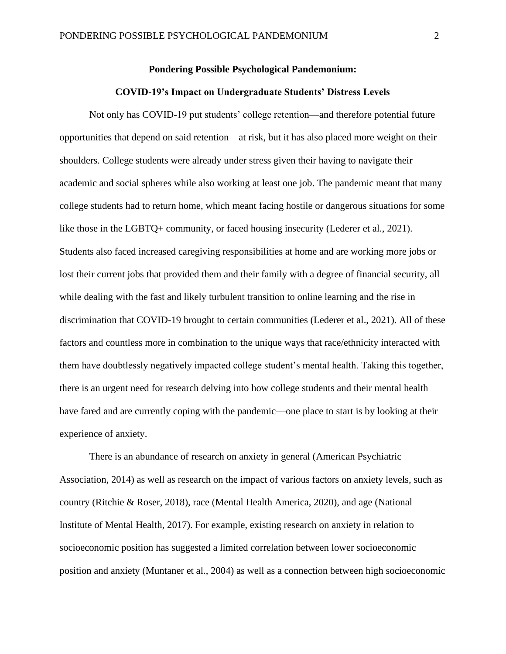## **Pondering Possible Psychological Pandemonium:**

## **COVID-19's Impact on Undergraduate Students' Distress Levels**

Not only has COVID-19 put students' college retention—and therefore potential future opportunities that depend on said retention—at risk, but it has also placed more weight on their shoulders. College students were already under stress given their having to navigate their academic and social spheres while also working at least one job. The pandemic meant that many college students had to return home, which meant facing hostile or dangerous situations for some like those in the LGBTQ+ community, or faced housing insecurity (Lederer et al., 2021). Students also faced increased caregiving responsibilities at home and are working more jobs or lost their current jobs that provided them and their family with a degree of financial security, all while dealing with the fast and likely turbulent transition to online learning and the rise in discrimination that COVID-19 brought to certain communities (Lederer et al., 2021). All of these factors and countless more in combination to the unique ways that race/ethnicity interacted with them have doubtlessly negatively impacted college student's mental health. Taking this together, there is an urgent need for research delving into how college students and their mental health have fared and are currently coping with the pandemic—one place to start is by looking at their experience of anxiety.

There is an abundance of research on anxiety in general (American Psychiatric Association, 2014) as well as research on the impact of various factors on anxiety levels, such as country (Ritchie & Roser, 2018), race (Mental Health America, 2020), and age (National Institute of Mental Health, 2017). For example, existing research on anxiety in relation to socioeconomic position has suggested a limited correlation between lower socioeconomic position and anxiety (Muntaner et al., 2004) as well as a connection between high socioeconomic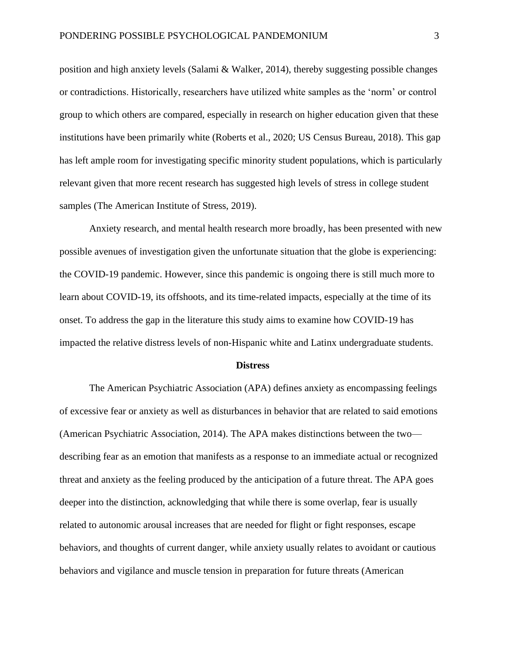position and high anxiety levels (Salami & Walker, 2014), thereby suggesting possible changes or contradictions. Historically, researchers have utilized white samples as the 'norm' or control group to which others are compared, especially in research on higher education given that these institutions have been primarily white (Roberts et al., 2020; US Census Bureau, 2018). This gap has left ample room for investigating specific minority student populations, which is particularly relevant given that more recent research has suggested high levels of stress in college student samples (The American Institute of Stress, 2019).

Anxiety research, and mental health research more broadly, has been presented with new possible avenues of investigation given the unfortunate situation that the globe is experiencing: the COVID-19 pandemic. However, since this pandemic is ongoing there is still much more to learn about COVID-19, its offshoots, and its time-related impacts, especially at the time of its onset. To address the gap in the literature this study aims to examine how COVID-19 has impacted the relative distress levels of non-Hispanic white and Latinx undergraduate students.

#### **Distress**

The American Psychiatric Association (APA) defines anxiety as encompassing feelings of excessive fear or anxiety as well as disturbances in behavior that are related to said emotions (American Psychiatric Association, 2014). The APA makes distinctions between the two describing fear as an emotion that manifests as a response to an immediate actual or recognized threat and anxiety as the feeling produced by the anticipation of a future threat. The APA goes deeper into the distinction, acknowledging that while there is some overlap, fear is usually related to autonomic arousal increases that are needed for flight or fight responses, escape behaviors, and thoughts of current danger, while anxiety usually relates to avoidant or cautious behaviors and vigilance and muscle tension in preparation for future threats (American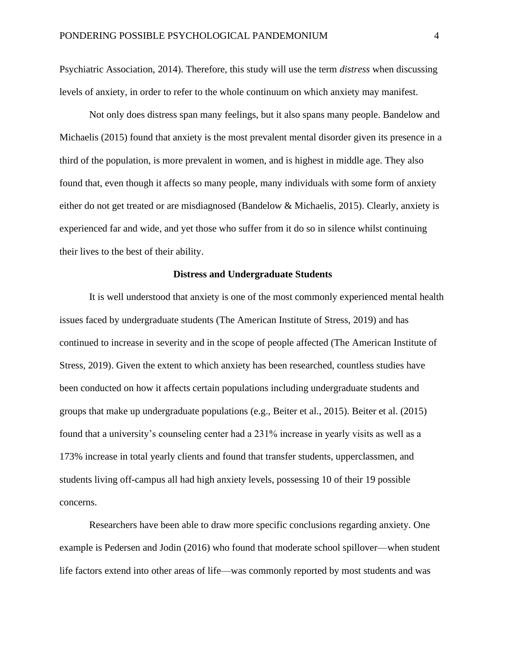Psychiatric Association, 2014). Therefore, this study will use the term *distress* when discussing levels of anxiety, in order to refer to the whole continuum on which anxiety may manifest.

Not only does distress span many feelings, but it also spans many people. Bandelow and Michaelis (2015) found that anxiety is the most prevalent mental disorder given its presence in a third of the population, is more prevalent in women, and is highest in middle age. They also found that, even though it affects so many people, many individuals with some form of anxiety either do not get treated or are misdiagnosed (Bandelow & Michaelis, 2015). Clearly, anxiety is experienced far and wide, and yet those who suffer from it do so in silence whilst continuing their lives to the best of their ability.

#### **Distress and Undergraduate Students**

It is well understood that anxiety is one of the most commonly experienced mental health issues faced by undergraduate students (The American Institute of Stress, 2019) and has continued to increase in severity and in the scope of people affected (The American Institute of Stress, 2019). Given the extent to which anxiety has been researched, countless studies have been conducted on how it affects certain populations including undergraduate students and groups that make up undergraduate populations (e.g., Beiter et al., 2015). Beiter et al. (2015) found that a university's counseling center had a 231% increase in yearly visits as well as a 173% increase in total yearly clients and found that transfer students, upperclassmen, and students living off-campus all had high anxiety levels, possessing 10 of their 19 possible concerns.

Researchers have been able to draw more specific conclusions regarding anxiety. One example is Pedersen and Jodin (2016) who found that moderate school spillover—when student life factors extend into other areas of life—was commonly reported by most students and was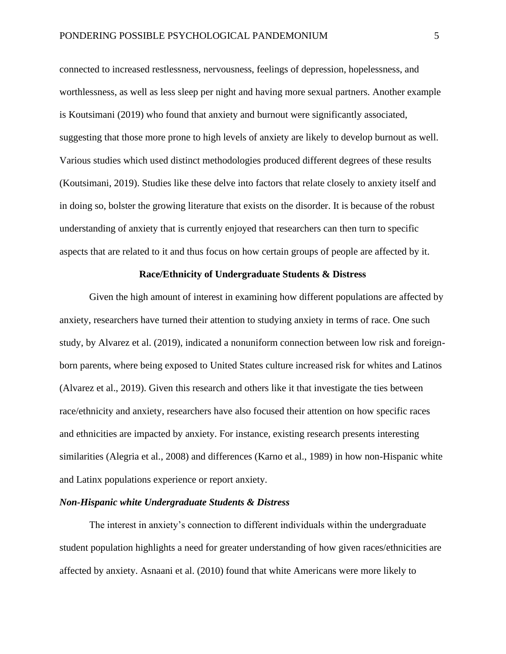connected to increased restlessness, nervousness, feelings of depression, hopelessness, and worthlessness, as well as less sleep per night and having more sexual partners. Another example is Koutsimani (2019) who found that anxiety and burnout were significantly associated, suggesting that those more prone to high levels of anxiety are likely to develop burnout as well. Various studies which used distinct methodologies produced different degrees of these results (Koutsimani, 2019). Studies like these delve into factors that relate closely to anxiety itself and in doing so, bolster the growing literature that exists on the disorder. It is because of the robust understanding of anxiety that is currently enjoyed that researchers can then turn to specific aspects that are related to it and thus focus on how certain groups of people are affected by it.

#### **Race/Ethnicity of Undergraduate Students & Distress**

Given the high amount of interest in examining how different populations are affected by anxiety, researchers have turned their attention to studying anxiety in terms of race. One such study, by Alvarez et al. (2019), indicated a nonuniform connection between low risk and foreignborn parents, where being exposed to United States culture increased risk for whites and Latinos (Alvarez et al., 2019). Given this research and others like it that investigate the ties between race/ethnicity and anxiety, researchers have also focused their attention on how specific races and ethnicities are impacted by anxiety. For instance, existing research presents interesting similarities (Alegria et al., 2008) and differences (Karno et al., 1989) in how non-Hispanic white and Latinx populations experience or report anxiety.

## *Non-Hispanic white Undergraduate Students & Distress*

The interest in anxiety's connection to different individuals within the undergraduate student population highlights a need for greater understanding of how given races/ethnicities are affected by anxiety. Asnaani et al. (2010) found that white Americans were more likely to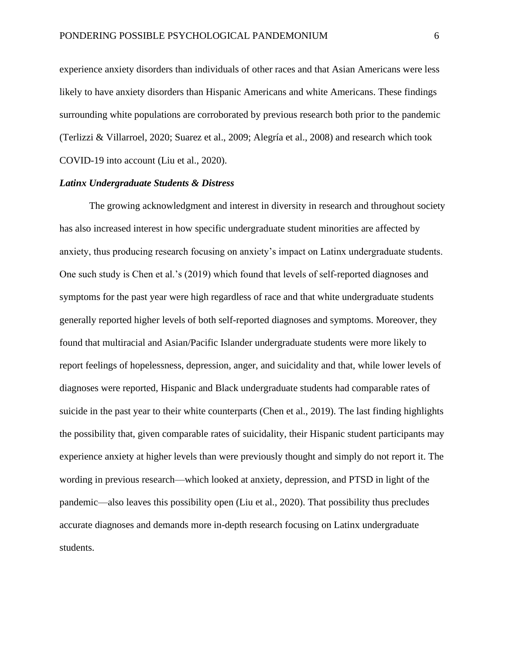experience anxiety disorders than individuals of other races and that Asian Americans were less likely to have anxiety disorders than Hispanic Americans and white Americans. These findings surrounding white populations are corroborated by previous research both prior to the pandemic (Terlizzi & Villarroel, 2020; Suarez et al., 2009; Alegría et al., 2008) and research which took COVID-19 into account (Liu et al., 2020).

## *Latinx Undergraduate Students & Distress*

The growing acknowledgment and interest in diversity in research and throughout society has also increased interest in how specific undergraduate student minorities are affected by anxiety, thus producing research focusing on anxiety's impact on Latinx undergraduate students. One such study is Chen et al.'s (2019) which found that levels of self-reported diagnoses and symptoms for the past year were high regardless of race and that white undergraduate students generally reported higher levels of both self-reported diagnoses and symptoms. Moreover, they found that multiracial and Asian/Pacific Islander undergraduate students were more likely to report feelings of hopelessness, depression, anger, and suicidality and that, while lower levels of diagnoses were reported, Hispanic and Black undergraduate students had comparable rates of suicide in the past year to their white counterparts (Chen et al., 2019). The last finding highlights the possibility that, given comparable rates of suicidality, their Hispanic student participants may experience anxiety at higher levels than were previously thought and simply do not report it. The wording in previous research—which looked at anxiety, depression, and PTSD in light of the pandemic—also leaves this possibility open (Liu et al., 2020). That possibility thus precludes accurate diagnoses and demands more in-depth research focusing on Latinx undergraduate students.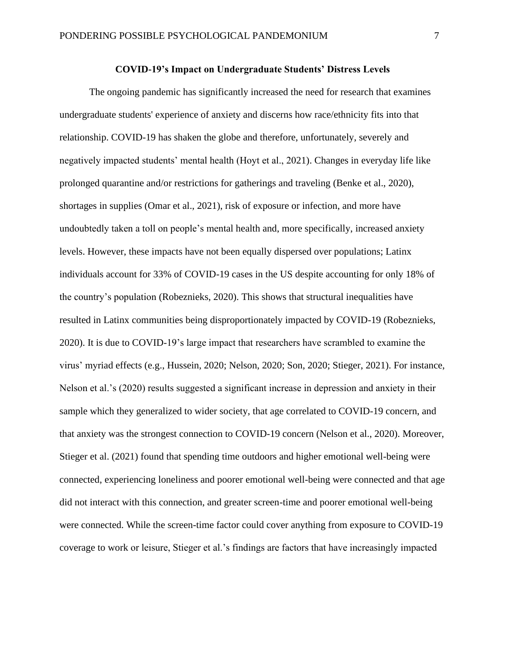## **COVID-19's Impact on Undergraduate Students' Distress Levels**

The ongoing pandemic has significantly increased the need for research that examines undergraduate students' experience of anxiety and discerns how race/ethnicity fits into that relationship. COVID-19 has shaken the globe and therefore, unfortunately, severely and negatively impacted students' mental health (Hoyt et al., 2021). Changes in everyday life like prolonged quarantine and/or restrictions for gatherings and traveling (Benke et al., 2020), shortages in supplies (Omar et al., 2021), risk of exposure or infection, and more have undoubtedly taken a toll on people's mental health and, more specifically, increased anxiety levels. However, these impacts have not been equally dispersed over populations; Latinx individuals account for 33% of COVID-19 cases in the US despite accounting for only 18% of the country's population (Robeznieks, 2020). This shows that structural inequalities have resulted in Latinx communities being disproportionately impacted by COVID-19 (Robeznieks, 2020). It is due to COVID-19's large impact that researchers have scrambled to examine the virus' myriad effects (e.g., Hussein, 2020; Nelson, 2020; Son, 2020; Stieger, 2021). For instance, Nelson et al.'s (2020) results suggested a significant increase in depression and anxiety in their sample which they generalized to wider society, that age correlated to COVID-19 concern, and that anxiety was the strongest connection to COVID-19 concern (Nelson et al., 2020). Moreover, Stieger et al. (2021) found that spending time outdoors and higher emotional well-being were connected, experiencing loneliness and poorer emotional well-being were connected and that age did not interact with this connection, and greater screen-time and poorer emotional well-being were connected. While the screen-time factor could cover anything from exposure to COVID-19 coverage to work or leisure, Stieger et al.'s findings are factors that have increasingly impacted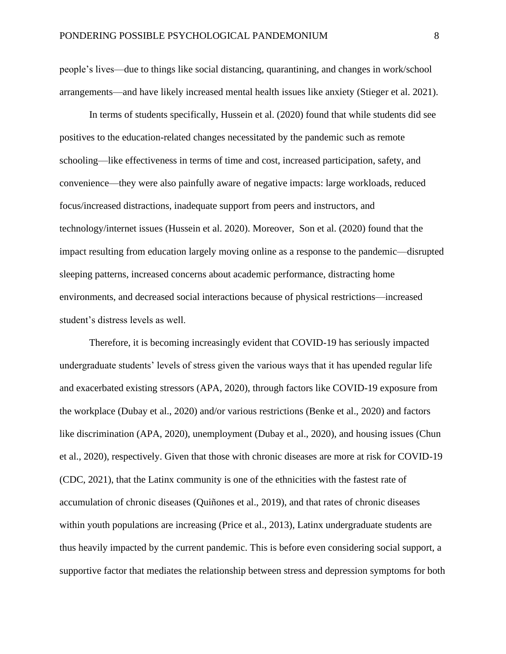people's lives—due to things like social distancing, quarantining, and changes in work/school arrangements—and have likely increased mental health issues like anxiety (Stieger et al. 2021).

In terms of students specifically, Hussein et al. (2020) found that while students did see positives to the education-related changes necessitated by the pandemic such as remote schooling—like effectiveness in terms of time and cost, increased participation, safety, and convenience—they were also painfully aware of negative impacts: large workloads, reduced focus/increased distractions, inadequate support from peers and instructors, and technology/internet issues (Hussein et al. 2020). Moreover, Son et al. (2020) found that the impact resulting from education largely moving online as a response to the pandemic—disrupted sleeping patterns, increased concerns about academic performance, distracting home environments, and decreased social interactions because of physical restrictions—increased student's distress levels as well.

Therefore, it is becoming increasingly evident that COVID-19 has seriously impacted undergraduate students' levels of stress given the various ways that it has upended regular life and exacerbated existing stressors (APA, 2020), through factors like COVID-19 exposure from the workplace (Dubay et al., 2020) and/or various restrictions (Benke et al., 2020) and factors like discrimination (APA, 2020), unemployment (Dubay et al., 2020), and housing issues (Chun et al., 2020), respectively. Given that those with chronic diseases are more at risk for COVID-19 (CDC, 2021), that the Latinx community is one of the ethnicities with the fastest rate of accumulation of chronic diseases (Quiñones et al., 2019), and that rates of chronic diseases within youth populations are increasing (Price et al., 2013), Latinx undergraduate students are thus heavily impacted by the current pandemic. This is before even considering social support, a supportive factor that mediates the relationship between stress and depression symptoms for both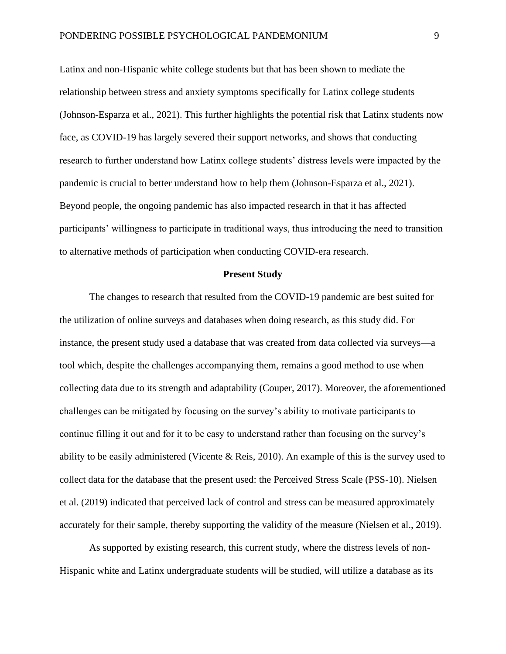Latinx and non-Hispanic white college students but that has been shown to mediate the relationship between stress and anxiety symptoms specifically for Latinx college students (Johnson-Esparza et al., 2021). This further highlights the potential risk that Latinx students now face, as COVID-19 has largely severed their support networks, and shows that conducting research to further understand how Latinx college students' distress levels were impacted by the pandemic is crucial to better understand how to help them (Johnson-Esparza et al., 2021). Beyond people, the ongoing pandemic has also impacted research in that it has affected participants' willingness to participate in traditional ways, thus introducing the need to transition to alternative methods of participation when conducting COVID-era research.

#### **Present Study**

The changes to research that resulted from the COVID-19 pandemic are best suited for the utilization of online surveys and databases when doing research, as this study did. For instance, the present study used a database that was created from data collected via surveys—a tool which, despite the challenges accompanying them, remains a good method to use when collecting data due to its strength and adaptability (Couper, 2017). Moreover, the aforementioned challenges can be mitigated by focusing on the survey's ability to motivate participants to continue filling it out and for it to be easy to understand rather than focusing on the survey's ability to be easily administered (Vicente & Reis, 2010). An example of this is the survey used to collect data for the database that the present used: the Perceived Stress Scale (PSS-10). Nielsen et al. (2019) indicated that perceived lack of control and stress can be measured approximately accurately for their sample, thereby supporting the validity of the measure (Nielsen et al., 2019).

As supported by existing research, this current study, where the distress levels of non-Hispanic white and Latinx undergraduate students will be studied, will utilize a database as its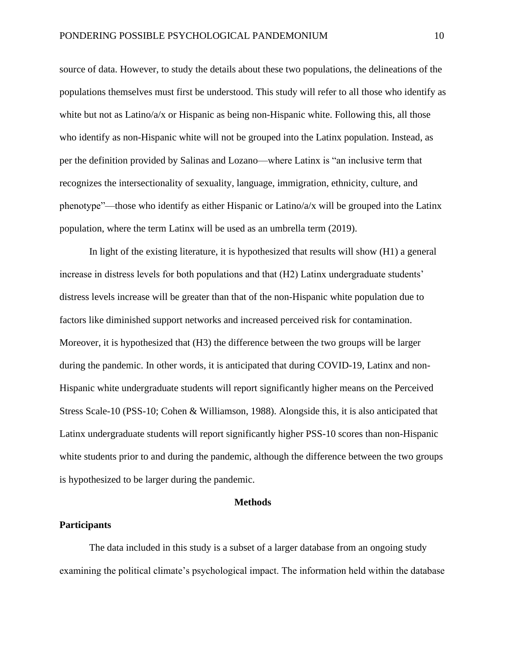source of data. However, to study the details about these two populations, the delineations of the populations themselves must first be understood. This study will refer to all those who identify as white but not as Latino/a/x or Hispanic as being non-Hispanic white. Following this, all those who identify as non-Hispanic white will not be grouped into the Latinx population. Instead, as per the definition provided by Salinas and Lozano—where Latinx is "an inclusive term that recognizes the intersectionality of sexuality, language, immigration, ethnicity, culture, and phenotype"—those who identify as either Hispanic or Latino/a/x will be grouped into the Latinx population, where the term Latinx will be used as an umbrella term (2019).

In light of the existing literature, it is hypothesized that results will show (H1) a general increase in distress levels for both populations and that (H2) Latinx undergraduate students' distress levels increase will be greater than that of the non-Hispanic white population due to factors like diminished support networks and increased perceived risk for contamination. Moreover, it is hypothesized that (H3) the difference between the two groups will be larger during the pandemic. In other words, it is anticipated that during COVID-19, Latinx and non-Hispanic white undergraduate students will report significantly higher means on the Perceived Stress Scale-10 (PSS-10; Cohen & Williamson, 1988). Alongside this, it is also anticipated that Latinx undergraduate students will report significantly higher PSS-10 scores than non-Hispanic white students prior to and during the pandemic, although the difference between the two groups is hypothesized to be larger during the pandemic.

#### **Methods**

## **Participants**

The data included in this study is a subset of a larger database from an ongoing study examining the political climate's psychological impact. The information held within the database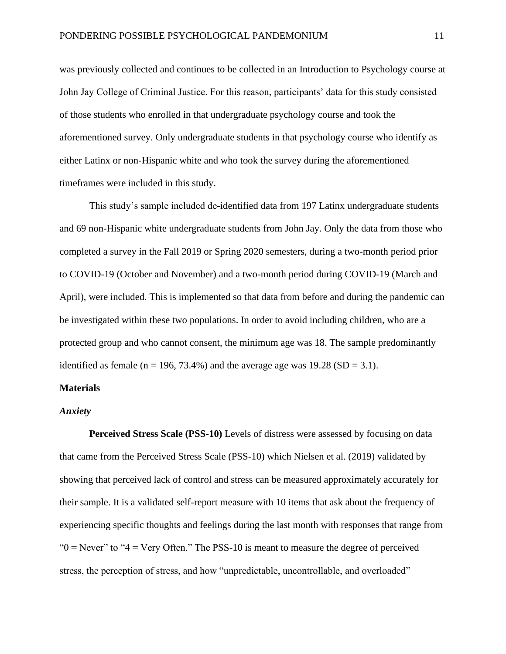was previously collected and continues to be collected in an Introduction to Psychology course at John Jay College of Criminal Justice. For this reason, participants' data for this study consisted of those students who enrolled in that undergraduate psychology course and took the aforementioned survey. Only undergraduate students in that psychology course who identify as either Latinx or non-Hispanic white and who took the survey during the aforementioned timeframes were included in this study.

This study's sample included de-identified data from 197 Latinx undergraduate students and 69 non-Hispanic white undergraduate students from John Jay. Only the data from those who completed a survey in the Fall 2019 or Spring 2020 semesters, during a two-month period prior to COVID-19 (October and November) and a two-month period during COVID-19 (March and April), were included. This is implemented so that data from before and during the pandemic can be investigated within these two populations. In order to avoid including children, who are a protected group and who cannot consent, the minimum age was 18. The sample predominantly identified as female (n = 196, 73.4%) and the average age was  $19.28$  (SD = 3.1).

## **Materials**

## *Anxiety*

**Perceived Stress Scale (PSS-10)** Levels of distress were assessed by focusing on data that came from the Perceived Stress Scale (PSS-10) which Nielsen et al. (2019) validated by showing that perceived lack of control and stress can be measured approximately accurately for their sample. It is a validated self-report measure with 10 items that ask about the frequency of experiencing specific thoughts and feelings during the last month with responses that range from " $0 =$  Never" to " $4 =$  Very Often." The PSS-10 is meant to measure the degree of perceived stress, the perception of stress, and how "unpredictable, uncontrollable, and overloaded"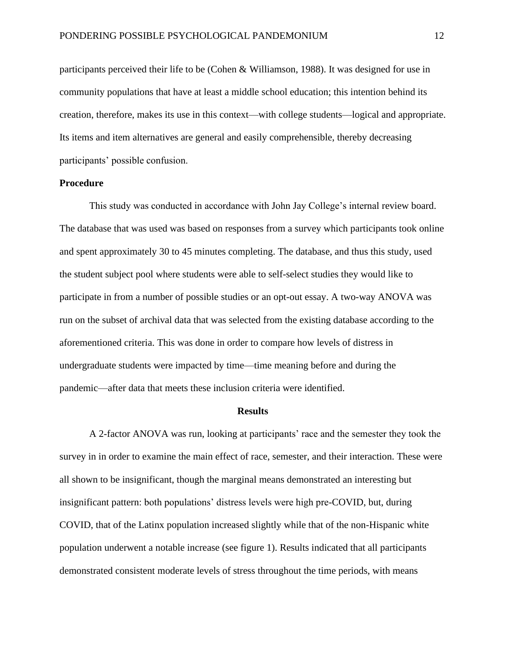participants perceived their life to be (Cohen & Williamson, 1988). It was designed for use in community populations that have at least a middle school education; this intention behind its creation, therefore, makes its use in this context—with college students—logical and appropriate. Its items and item alternatives are general and easily comprehensible, thereby decreasing participants' possible confusion.

## **Procedure**

This study was conducted in accordance with John Jay College's internal review board. The database that was used was based on responses from a survey which participants took online and spent approximately 30 to 45 minutes completing. The database, and thus this study, used the student subject pool where students were able to self-select studies they would like to participate in from a number of possible studies or an opt-out essay. A two-way ANOVA was run on the subset of archival data that was selected from the existing database according to the aforementioned criteria. This was done in order to compare how levels of distress in undergraduate students were impacted by time—time meaning before and during the pandemic—after data that meets these inclusion criteria were identified.

#### **Results**

A 2-factor ANOVA was run, looking at participants' race and the semester they took the survey in in order to examine the main effect of race, semester, and their interaction. These were all shown to be insignificant, though the marginal means demonstrated an interesting but insignificant pattern: both populations' distress levels were high pre-COVID, but, during COVID, that of the Latinx population increased slightly while that of the non-Hispanic white population underwent a notable increase (see figure 1). Results indicated that all participants demonstrated consistent moderate levels of stress throughout the time periods, with means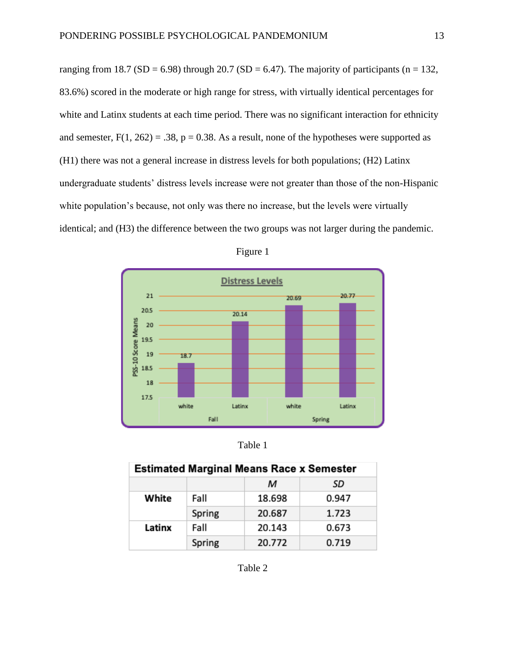ranging from 18.7 (SD = 6.98) through 20.7 (SD = 6.47). The majority of participants (n = 132, 83.6%) scored in the moderate or high range for stress, with virtually identical percentages for white and Latinx students at each time period. There was no significant interaction for ethnicity and semester,  $F(1, 262) = .38$ ,  $p = 0.38$ . As a result, none of the hypotheses were supported as (H1) there was not a general increase in distress levels for both populations; (H2) Latinx undergraduate students' distress levels increase were not greater than those of the non-Hispanic white population's because, not only was there no increase, but the levels were virtually identical; and (H3) the difference between the two groups was not larger during the pandemic.



| ч. |  |
|----|--|
|    |  |

Table 1

| <b>Estimated Marginal Means Race x Semester</b> |        |        |       |  |
|-------------------------------------------------|--------|--------|-------|--|
|                                                 |        | м      | SD    |  |
| White                                           | Fall   | 18.698 | 0.947 |  |
|                                                 | Spring | 20.687 | 1.723 |  |
| Latinx                                          | Fall   | 20.143 | 0.673 |  |
|                                                 | Spring | 20.772 | 0.719 |  |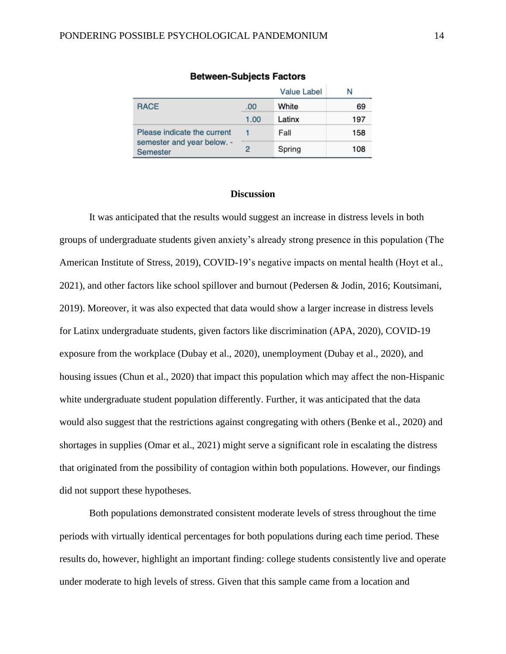|                                               |      | <b>Value Label</b> | N   |
|-----------------------------------------------|------|--------------------|-----|
| <b>RACE</b>                                   | .00. | White              | 69  |
|                                               | 1.00 | Latinx             | 197 |
| Please indicate the current                   |      | Fall               | 158 |
| semester and year below. -<br><b>Semester</b> | 2    | Spring             | 108 |

#### **Between-Subjects Factors**

#### **Discussion**

It was anticipated that the results would suggest an increase in distress levels in both groups of undergraduate students given anxiety's already strong presence in this population (The American Institute of Stress, 2019), COVID-19's negative impacts on mental health (Hoyt et al., 2021), and other factors like school spillover and burnout (Pedersen & Jodin, 2016; Koutsimani, 2019). Moreover, it was also expected that data would show a larger increase in distress levels for Latinx undergraduate students, given factors like discrimination (APA, 2020), COVID-19 exposure from the workplace (Dubay et al., 2020), unemployment (Dubay et al., 2020), and housing issues (Chun et al., 2020) that impact this population which may affect the non-Hispanic white undergraduate student population differently. Further, it was anticipated that the data would also suggest that the restrictions against congregating with others (Benke et al., 2020) and shortages in supplies (Omar et al., 2021) might serve a significant role in escalating the distress that originated from the possibility of contagion within both populations. However, our findings did not support these hypotheses.

Both populations demonstrated consistent moderate levels of stress throughout the time periods with virtually identical percentages for both populations during each time period. These results do, however, highlight an important finding: college students consistently live and operate under moderate to high levels of stress. Given that this sample came from a location and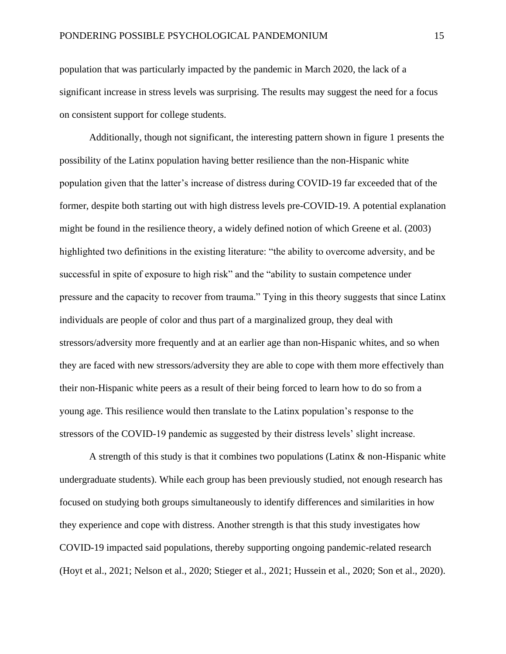population that was particularly impacted by the pandemic in March 2020, the lack of a significant increase in stress levels was surprising. The results may suggest the need for a focus on consistent support for college students.

Additionally, though not significant, the interesting pattern shown in figure 1 presents the possibility of the Latinx population having better resilience than the non-Hispanic white population given that the latter's increase of distress during COVID-19 far exceeded that of the former, despite both starting out with high distress levels pre-COVID-19. A potential explanation might be found in the resilience theory, a widely defined notion of which Greene et al. (2003) highlighted two definitions in the existing literature: "the ability to overcome adversity, and be successful in spite of exposure to high risk" and the "ability to sustain competence under pressure and the capacity to recover from trauma." Tying in this theory suggests that since Latinx individuals are people of color and thus part of a marginalized group, they deal with stressors/adversity more frequently and at an earlier age than non-Hispanic whites, and so when they are faced with new stressors/adversity they are able to cope with them more effectively than their non-Hispanic white peers as a result of their being forced to learn how to do so from a young age. This resilience would then translate to the Latinx population's response to the stressors of the COVID-19 pandemic as suggested by their distress levels' slight increase.

A strength of this study is that it combines two populations (Latinx  $\&$  non-Hispanic white undergraduate students). While each group has been previously studied, not enough research has focused on studying both groups simultaneously to identify differences and similarities in how they experience and cope with distress. Another strength is that this study investigates how COVID-19 impacted said populations, thereby supporting ongoing pandemic-related research (Hoyt et al., 2021; Nelson et al., 2020; Stieger et al., 2021; Hussein et al., 2020; Son et al., 2020).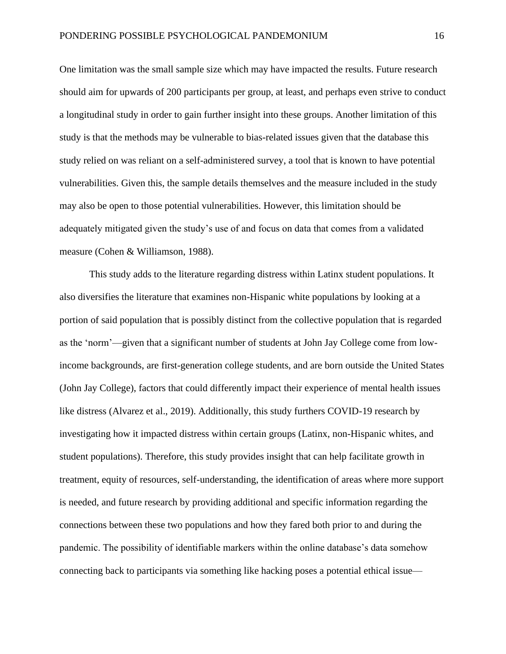One limitation was the small sample size which may have impacted the results. Future research should aim for upwards of 200 participants per group, at least, and perhaps even strive to conduct a longitudinal study in order to gain further insight into these groups. Another limitation of this study is that the methods may be vulnerable to bias-related issues given that the database this study relied on was reliant on a self-administered survey, a tool that is known to have potential vulnerabilities. Given this, the sample details themselves and the measure included in the study may also be open to those potential vulnerabilities. However, this limitation should be adequately mitigated given the study's use of and focus on data that comes from a validated measure (Cohen & Williamson, 1988).

This study adds to the literature regarding distress within Latinx student populations. It also diversifies the literature that examines non-Hispanic white populations by looking at a portion of said population that is possibly distinct from the collective population that is regarded as the 'norm'—given that a significant number of students at John Jay College come from lowincome backgrounds, are first-generation college students, and are born outside the United States (John Jay College), factors that could differently impact their experience of mental health issues like distress (Alvarez et al., 2019). Additionally, this study furthers COVID-19 research by investigating how it impacted distress within certain groups (Latinx, non-Hispanic whites, and student populations). Therefore, this study provides insight that can help facilitate growth in treatment, equity of resources, self-understanding, the identification of areas where more support is needed, and future research by providing additional and specific information regarding the connections between these two populations and how they fared both prior to and during the pandemic. The possibility of identifiable markers within the online database's data somehow connecting back to participants via something like hacking poses a potential ethical issue—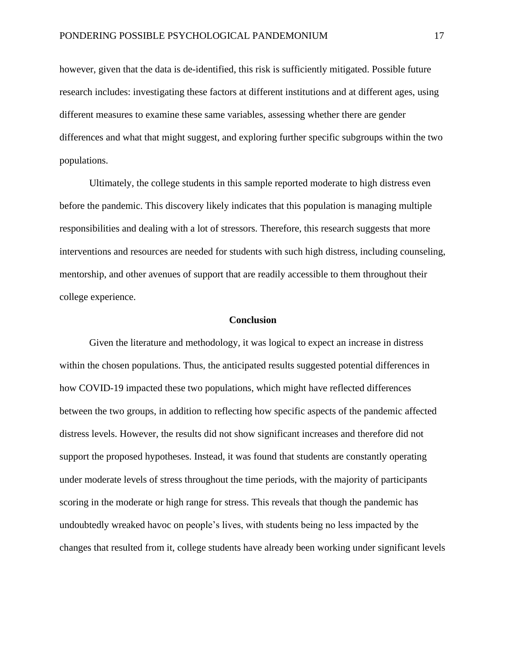however, given that the data is de-identified, this risk is sufficiently mitigated. Possible future research includes: investigating these factors at different institutions and at different ages, using different measures to examine these same variables, assessing whether there are gender differences and what that might suggest, and exploring further specific subgroups within the two populations.

Ultimately, the college students in this sample reported moderate to high distress even before the pandemic. This discovery likely indicates that this population is managing multiple responsibilities and dealing with a lot of stressors. Therefore, this research suggests that more interventions and resources are needed for students with such high distress, including counseling, mentorship, and other avenues of support that are readily accessible to them throughout their college experience.

## **Conclusion**

Given the literature and methodology, it was logical to expect an increase in distress within the chosen populations. Thus, the anticipated results suggested potential differences in how COVID-19 impacted these two populations, which might have reflected differences between the two groups, in addition to reflecting how specific aspects of the pandemic affected distress levels. However, the results did not show significant increases and therefore did not support the proposed hypotheses. Instead, it was found that students are constantly operating under moderate levels of stress throughout the time periods, with the majority of participants scoring in the moderate or high range for stress. This reveals that though the pandemic has undoubtedly wreaked havoc on people's lives, with students being no less impacted by the changes that resulted from it, college students have already been working under significant levels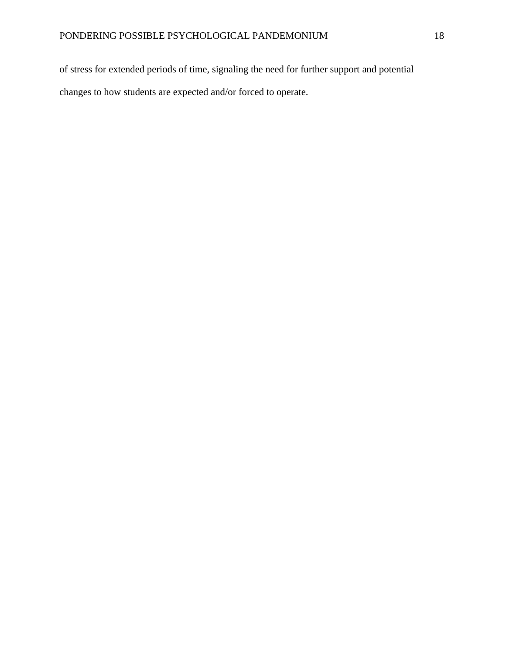of stress for extended periods of time, signaling the need for further support and potential changes to how students are expected and/or forced to operate.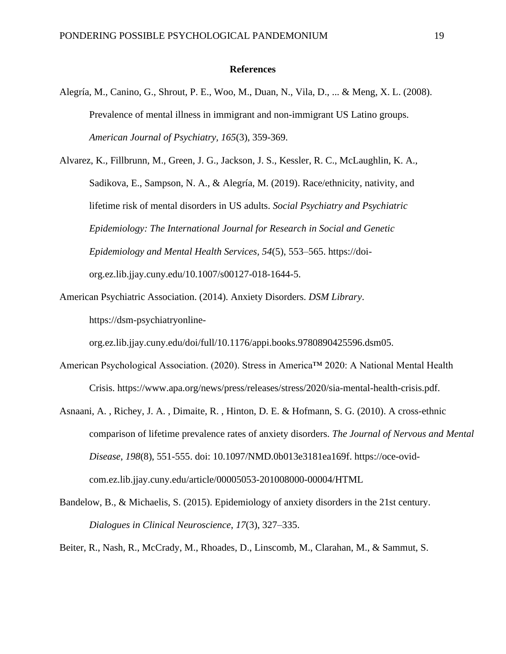#### **References**

- Alegría, M., Canino, G., Shrout, P. E., Woo, M., Duan, N., Vila, D., ... & Meng, X. L. (2008). Prevalence of mental illness in immigrant and non-immigrant US Latino groups. *American Journal of Psychiatry, 165*(3), 359-369.
- Alvarez, K., Fillbrunn, M., Green, J. G., Jackson, J. S., Kessler, R. C., McLaughlin, K. A., Sadikova, E., Sampson, N. A., & Alegría, M. (2019). Race/ethnicity, nativity, and lifetime risk of mental disorders in US adults. *Social Psychiatry and Psychiatric Epidemiology: The International Journal for Research in Social and Genetic Epidemiology and Mental Health Services, 54*(5), 553–565. https://doiorg.ez.lib.jjay.cuny.edu/10.1007/s00127-018-1644-5.
- American Psychiatric Association. (2014). Anxiety Disorders. *DSM Library*. https://dsm-psychiatryonline-

org.ez.lib.jjay.cuny.edu/doi/full/10.1176/appi.books.9780890425596.dsm05.

- American Psychological Association. (2020). Stress in America™ 2020: A National Mental Health Crisis. https://www.apa.org/news/press/releases/stress/2020/sia-mental-health-crisis.pdf.
- Asnaani, A. , Richey, J. A. , Dimaite, R. , Hinton, D. E. & Hofmann, S. G. (2010). A cross-ethnic comparison of lifetime prevalence rates of anxiety disorders. *The Journal of Nervous and Mental Disease*, *198*(8), 551-555. doi: 10.1097/NMD.0b013e3181ea169f. https://oce-ovidcom.ez.lib.jjay.cuny.edu/article/00005053-201008000-00004/HTML
- Bandelow, B., & Michaelis, S. (2015). Epidemiology of anxiety disorders in the 21st century. *Dialogues in Clinical Neuroscience*, *17*(3), 327–335.

Beiter, R., Nash, R., McCrady, M., Rhoades, D., Linscomb, M., Clarahan, M., & Sammut, S.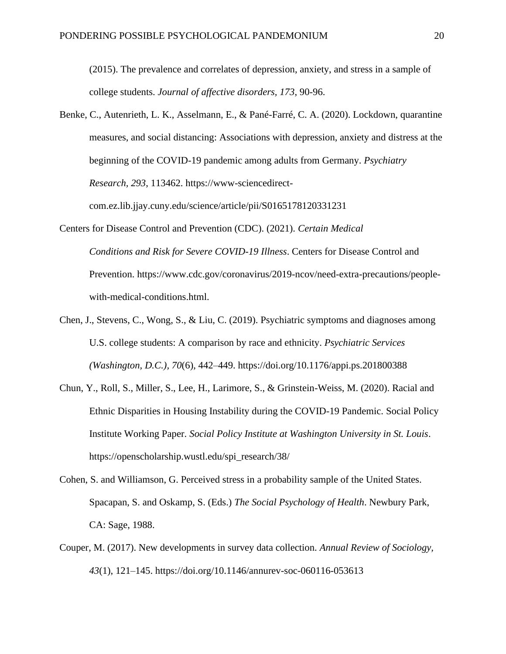(2015). The prevalence and correlates of depression, anxiety, and stress in a sample of college students. *Journal of affective disorders, 173*, 90-96.

- Benke, C., Autenrieth, L. K., Asselmann, E., & Pané-Farré, C. A. (2020). Lockdown, quarantine measures, and social distancing: Associations with depression, anxiety and distress at the beginning of the COVID-19 pandemic among adults from Germany. *Psychiatry Research, 293*, 113462. https://www-sciencedirectcom.ez.lib.jjay.cuny.edu/science/article/pii/S0165178120331231
- Centers for Disease Control and Prevention (CDC). (2021). *Certain Medical Conditions and Risk for Severe COVID-19 Illness*. Centers for Disease Control and Prevention. https://www.cdc.gov/coronavirus/2019-ncov/need-extra-precautions/peoplewith-medical-conditions.html.
- Chen, J., Stevens, C., Wong, S., & Liu, C. (2019). Psychiatric symptoms and diagnoses among U.S. college students: A comparison by race and ethnicity. *Psychiatric Services (Washington, D.C.), 70*(6), 442–449. https://doi.org/10.1176/appi.ps.201800388
- Chun, Y., Roll, S., Miller, S., Lee, H., Larimore, S., & Grinstein-Weiss, M. (2020). Racial and Ethnic Disparities in Housing Instability during the COVID-19 Pandemic. Social Policy Institute Working Paper. *Social Policy Institute at Washington University in St. Louis*. https://openscholarship.wustl.edu/spi\_research/38/
- Cohen, S. and Williamson, G. Perceived stress in a probability sample of the United States. Spacapan, S. and Oskamp, S. (Eds.) *The Social Psychology of Health*. Newbury Park, CA: Sage, 1988.
- Couper, M. (2017). New developments in survey data collection. *Annual Review of Sociology, 43*(1), 121–145. https://doi.org/10.1146/annurev-soc-060116-053613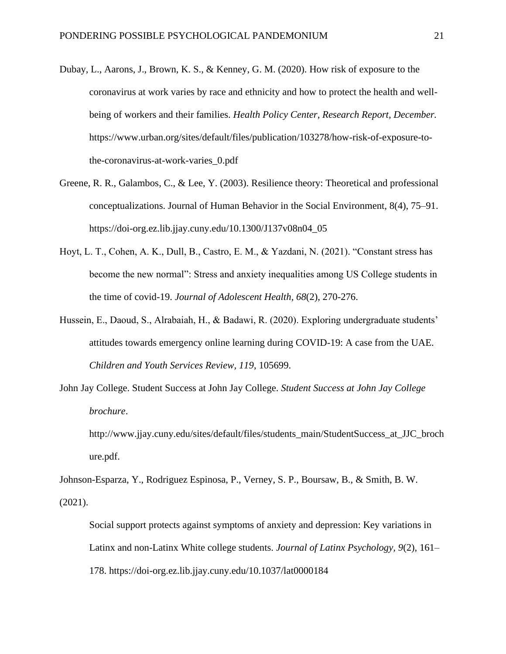- Dubay, L., Aarons, J., Brown, K. S., & Kenney, G. M. (2020). How risk of exposure to the coronavirus at work varies by race and ethnicity and how to protect the health and wellbeing of workers and their families. *Health Policy Center, Research Report, December.* https://www.urban.org/sites/default/files/publication/103278/how-risk-of-exposure-tothe-coronavirus-at-work-varies\_0.pdf
- Greene, R. R., Galambos, C., & Lee, Y. (2003). Resilience theory: Theoretical and professional conceptualizations. Journal of Human Behavior in the Social Environment, 8(4), 75–91. https://doi-org.ez.lib.jjay.cuny.edu/10.1300/J137v08n04\_05
- Hoyt, L. T., Cohen, A. K., Dull, B., Castro, E. M., & Yazdani, N. (2021). "Constant stress has become the new normal": Stress and anxiety inequalities among US College students in the time of covid-19. *Journal of Adolescent Health, 68*(2), 270-276.
- Hussein, E., Daoud, S., Alrabaiah, H., & Badawi, R. (2020). Exploring undergraduate students' attitudes towards emergency online learning during COVID-19: A case from the UAE. *Children and Youth Services Review, 119*, 105699.
- John Jay College. Student Success at John Jay College. *Student Success at John Jay College brochure*.

http://www.jjay.cuny.edu/sites/default/files/students\_main/StudentSuccess\_at\_JJC\_broch ure.pdf.

Johnson-Esparza, Y., Rodriguez Espinosa, P., Verney, S. P., Boursaw, B., & Smith, B. W. (2021).

Social support protects against symptoms of anxiety and depression: Key variations in Latinx and non-Latinx White college students. *Journal of Latinx Psychology, 9*(2), 161– 178. https://doi-org.ez.lib.jjay.cuny.edu/10.1037/lat0000184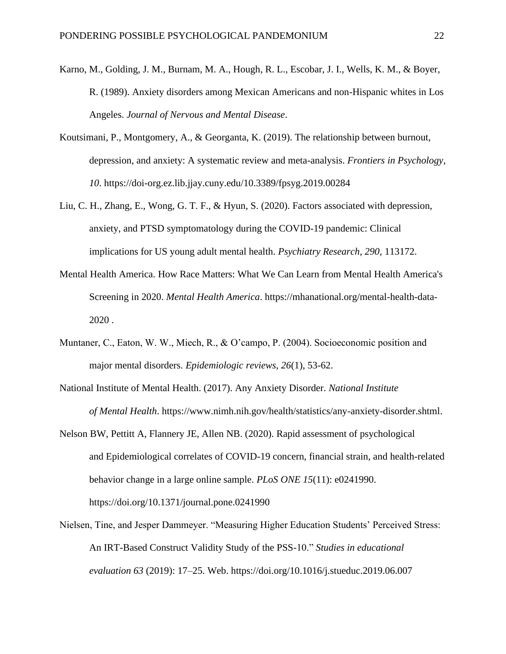- Karno, M., Golding, J. M., Burnam, M. A., Hough, R. L., Escobar, J. I., Wells, K. M., & Boyer, R. (1989). Anxiety disorders among Mexican Americans and non-Hispanic whites in Los Angeles. *Journal of Nervous and Mental Disease*.
- Koutsimani, P., Montgomery, A., & Georganta, K. (2019). The relationship between burnout, depression, and anxiety: A systematic review and meta-analysis. *Frontiers in Psychology*, *10*. https://doi-org.ez.lib.jjay.cuny.edu/10.3389/fpsyg.2019.00284
- Liu, C. H., Zhang, E., Wong, G. T. F., & Hyun, S. (2020). Factors associated with depression, anxiety, and PTSD symptomatology during the COVID-19 pandemic: Clinical implications for US young adult mental health. *Psychiatry Research, 290*, 113172.
- Mental Health America. How Race Matters: What We Can Learn from Mental Health America's Screening in 2020. *Mental Health America*. https://mhanational.org/mental-health-data-2020 .
- Muntaner, C., Eaton, W. W., Miech, R., & O'campo, P. (2004). Socioeconomic position and major mental disorders. *Epidemiologic reviews, 26*(1), 53-62.
- National Institute of Mental Health. (2017). Any Anxiety Disorder. *National Institute of Mental Health*. https://www.nimh.nih.gov/health/statistics/any-anxiety-disorder.shtml.
- Nelson BW, Pettitt A, Flannery JE, Allen NB. (2020). Rapid assessment of psychological and Epidemiological correlates of COVID-19 concern, financial strain, and health-related behavior change in a large online sample. *PLoS ONE 15*(11): e0241990. https://doi.org/10.1371/journal.pone.0241990
- Nielsen, Tine, and Jesper Dammeyer. "Measuring Higher Education Students' Perceived Stress: An IRT-Based Construct Validity Study of the PSS-10." *Studies in educational evaluation 63* (2019): 17–25. Web. https://doi.org/10.1016/j.stueduc.2019.06.007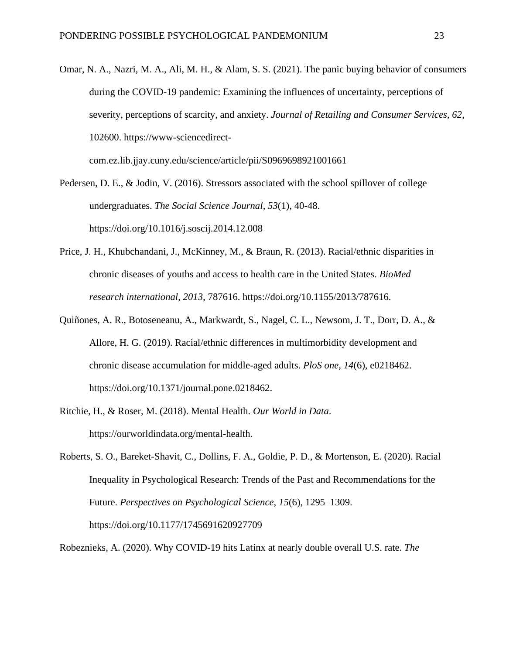Omar, N. A., Nazri, M. A., Ali, M. H., & Alam, S. S. (2021). The panic buying behavior of consumers during the COVID-19 pandemic: Examining the influences of uncertainty, perceptions of severity, perceptions of scarcity, and anxiety. *Journal of Retailing and Consumer Services, 62*, 102600. https://www-sciencedirect-

com.ez.lib.jjay.cuny.edu/science/article/pii/S0969698921001661

Pedersen, D. E., & Jodin, V. (2016). Stressors associated with the school spillover of college undergraduates. *The Social Science Journal*, *53*(1), 40-48. https://doi.org/10.1016/j.soscij.2014.12.008

- Price, J. H., Khubchandani, J., McKinney, M., & Braun, R. (2013). Racial/ethnic disparities in chronic diseases of youths and access to health care in the United States. *BioMed research international, 2013*, 787616. https://doi.org/10.1155/2013/787616.
- Quiñones, A. R., Botoseneanu, A., Markwardt, S., Nagel, C. L., Newsom, J. T., Dorr, D. A., & Allore, H. G. (2019). Racial/ethnic differences in multimorbidity development and chronic disease accumulation for middle-aged adults. *PloS one, 14*(6), e0218462. https://doi.org/10.1371/journal.pone.0218462.
- Ritchie, H., & Roser, M. (2018). Mental Health. *Our World in Data*. https://ourworldindata.org/mental-health.

Roberts, S. O., Bareket-Shavit, C., Dollins, F. A., Goldie, P. D., & Mortenson, E. (2020). Racial Inequality in Psychological Research: Trends of the Past and Recommendations for the Future. *Perspectives on Psychological Science, 15*(6), 1295–1309. https://doi.org/10.1177/1745691620927709

Robeznieks, A. (2020). Why COVID-19 hits Latinx at nearly double overall U.S. rate[.](https://www.ama-assn.org/delivering-care/population-care/why-covid-19-hits-latinx-nearly-double-overall-us-rate) *The*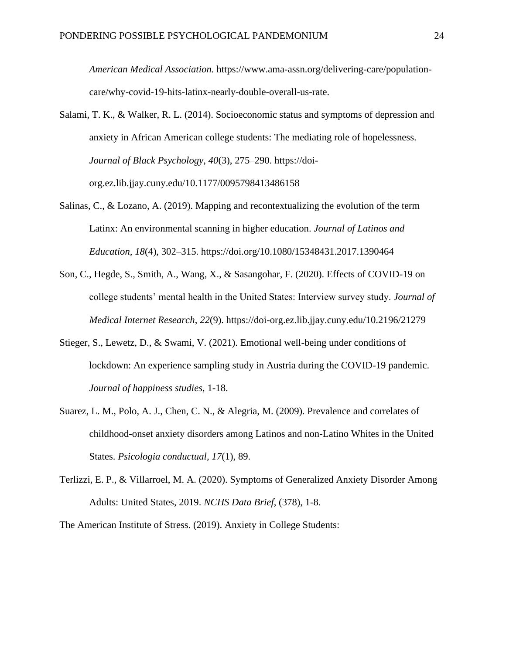*American Medical Association.* https://www.ama-assn.org/delivering-care/populationcare/why-covid-19-hits-latinx-nearly-double-overall-us-rate.

- Salami, T. K., & Walker, R. L. (2014). Socioeconomic status and symptoms of depression and anxiety in African American college students: The mediating role of hopelessness. *Journal of Black Psychology, 40*(3), 275–290. https://doiorg.ez.lib.jjay.cuny.edu/10.1177/0095798413486158
- Salinas, C., & Lozano, A. (2019). Mapping and recontextualizing the evolution of the term Latinx: An environmental scanning in higher education. *Journal of Latinos and Education, 18*(4), 302–315. https://doi.org/10.1080/15348431.2017.1390464
- Son, C., Hegde, S., Smith, A., Wang, X., & Sasangohar, F. (2020). Effects of COVID-19 on college students' mental health in the United States: Interview survey study. *Journal of Medical Internet Research*, *22*(9). https://doi-org.ez.lib.jjay.cuny.edu/10.2196/21279
- Stieger, S., Lewetz, D., & Swami, V. (2021). Emotional well-being under conditions of lockdown: An experience sampling study in Austria during the COVID-19 pandemic. *Journal of happiness studies*, 1-18.
- Suarez, L. M., Polo, A. J., Chen, C. N., & Alegria, M. (2009). Prevalence and correlates of childhood-onset anxiety disorders among Latinos and non-Latino Whites in the United States. *Psicologia conductual, 17*(1), 89.
- Terlizzi, E. P., & Villarroel, M. A. (2020). Symptoms of Generalized Anxiety Disorder Among Adults: United States, 2019. *NCHS Data Brief*, (378), 1-8.

The American Institute of Stress. (2019). Anxiety in College Students: